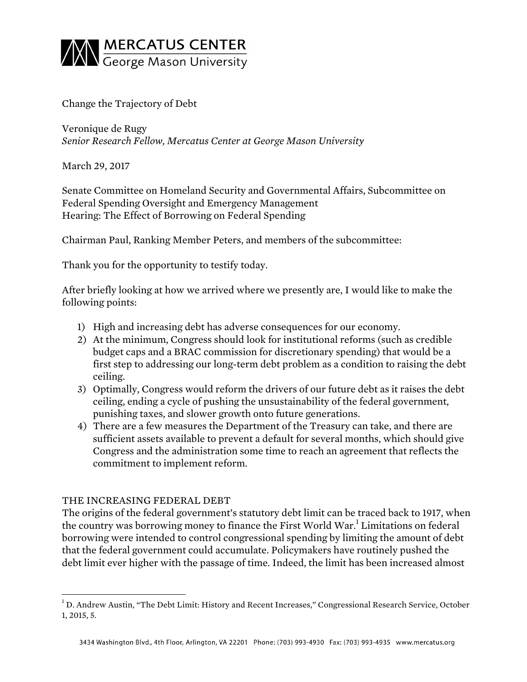

Change the Trajectory of Debt

Veronique de Rugy *Senior Research Fellow, Mercatus Center at George Mason University*

March 29, 2017

Senate Committee on Homeland Security and Governmental Affairs, Subcommittee on Federal Spending Oversight and Emergency Management Hearing: The Effect of Borrowing on Federal Spending

Chairman Paul, Ranking Member Peters, and members of the subcommittee:

Thank you for the opportunity to testify today.

After briefly looking at how we arrived where we presently are, I would like to make the following points:

- 1) High and increasing debt has adverse consequences for our economy.
- 2) At the minimum, Congress should look for institutional reforms (such as credible budget caps and a BRAC commission for discretionary spending) that would be a first step to addressing our long-term debt problem as a condition to raising the debt ceiling.
- 3) Optimally, Congress would reform the drivers of our future debt as it raises the debt ceiling, ending a cycle of pushing the unsustainability of the federal government, punishing taxes, and slower growth onto future generations.
- 4) There are a few measures the Department of the Treasury can take, and there are sufficient assets available to prevent a default for several months, which should give Congress and the administration some time to reach an agreement that reflects the commitment to implement reform.

## THE INCREASING FEDERAL DEBT

The origins of the federal government's statutory debt limit can be traced back to 1917, when the country was borrowing money to finance the First World War.<sup>1</sup> Limitations on federal borrowing were intended to control congressional spending by limiting the amount of debt that the federal government could accumulate. Policymakers have routinely pushed the debt limit ever higher with the passage of time. Indeed, the limit has been increased almost

 <sup>1</sup> D. Andrew Austin, "The Debt Limit: History and Recent Increases," Congressional Research Service, October 1, 2015, 5.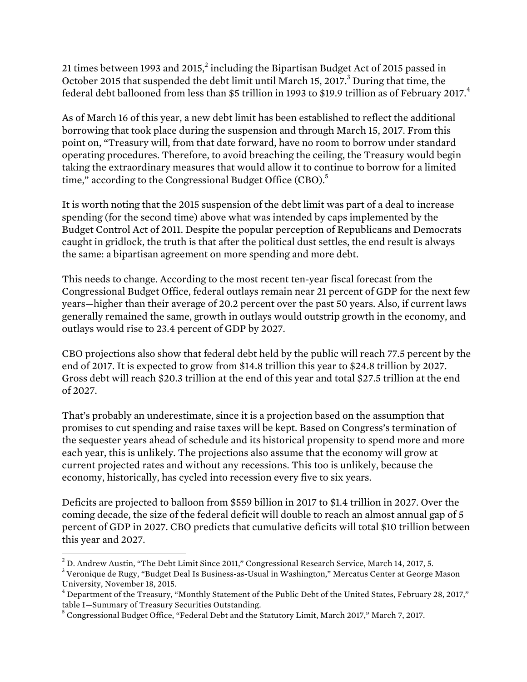21 times between 1993 and 2015, $^2$  including the Bipartisan Budget Act of 2015 passed in October 2015 that suspended the debt limit until March 15, 2017.<sup>3</sup> During that time, the federal debt ballooned from less than \$5 trillion in 1993 to \$19.9 trillion as of February 2017.<sup>4</sup>

As of March 16 of this year, a new debt limit has been established to reflect the additional borrowing that took place during the suspension and through March 15, 2017. From this point on, "Treasury will, from that date forward, have no room to borrow under standard operating procedures. Therefore, to avoid breaching the ceiling, the Treasury would begin taking the extraordinary measures that would allow it to continue to borrow for a limited time," according to the Congressional Budget Office (CBO).<sup>5</sup>

It is worth noting that the 2015 suspension of the debt limit was part of a deal to increase spending (for the second time) above what was intended by caps implemented by the Budget Control Act of 2011. Despite the popular perception of Republicans and Democrats caught in gridlock, the truth is that after the political dust settles, the end result is always the same: a bipartisan agreement on more spending and more debt.

This needs to change. According to the most recent ten-year fiscal forecast from the Congressional Budget Office, federal outlays remain near 21 percent of GDP for the next few years—higher than their average of 20.2 percent over the past 50 years. Also, if current laws generally remained the same, growth in outlays would outstrip growth in the economy, and outlays would rise to 23.4 percent of GDP by 2027.

CBO projections also show that federal debt held by the public will reach 77.5 percent by the end of 2017. It is expected to grow from \$14.8 trillion this year to \$24.8 trillion by 2027. Gross debt will reach \$20.3 trillion at the end of this year and total \$27.5 trillion at the end of 2027.

That's probably an underestimate, since it is a projection based on the assumption that promises to cut spending and raise taxes will be kept. Based on Congress's termination of the sequester years ahead of schedule and its historical propensity to spend more and more each year, this is unlikely. The projections also assume that the economy will grow at current projected rates and without any recessions. This too is unlikely, because the economy, historically, has cycled into recession every five to six years.

Deficits are projected to balloon from \$559 billion in 2017 to \$1.4 trillion in 2027. Over the coming decade, the size of the federal deficit will double to reach an almost annual gap of 5 percent of GDP in 2027. CBO predicts that cumulative deficits will total \$10 trillion between this year and 2027.

 $^{2}$  D. Andrew Austin, "The Debt Limit Since 2011," Congressional Research Service, March 14, 2017, 5.

<sup>3</sup> Veronique de Rugy, "Budget Deal Is Business-as-Usual in Washington," Mercatus Center at George Mason University, November 18, 2015.

 $^4$  Department of the Treasury, "Monthly Statement of the Public Debt of the United States, February 28, 2017," table I—Summary of Treasury Securities Outstanding.

 $5$  Congressional Budget Office, "Federal Debt and the Statutory Limit, March 2017," March 7, 2017.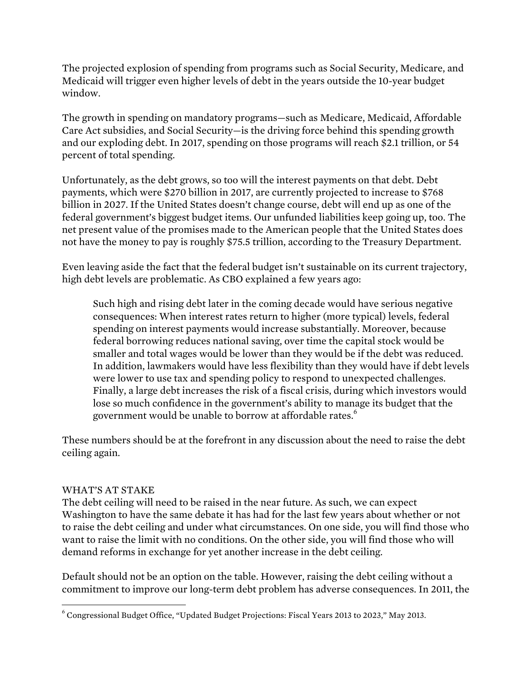The projected explosion of spending from programs such as Social Security, Medicare, and Medicaid will trigger even higher levels of debt in the years outside the 10-year budget window.

The growth in spending on mandatory programs—such as Medicare, Medicaid, Affordable Care Act subsidies, and Social Security—is the driving force behind this spending growth and our exploding debt. In 2017, spending on those programs will reach \$2.1 trillion, or 54 percent of total spending.

Unfortunately, as the debt grows, so too will the interest payments on that debt. Debt payments, which were \$270 billion in 2017, are currently projected to increase to \$768 billion in 2027. If the United States doesn't change course, debt will end up as one of the federal government's biggest budget items. Our unfunded liabilities keep going up, too. The net present value of the promises made to the American people that the United States does not have the money to pay is roughly \$75.5 trillion, according to the Treasury Department.

Even leaving aside the fact that the federal budget isn't sustainable on its current trajectory, high debt levels are problematic. As CBO explained a few years ago:

Such high and rising debt later in the coming decade would have serious negative consequences: When interest rates return to higher (more typical) levels, federal spending on interest payments would increase substantially. Moreover, because federal borrowing reduces national saving, over time the capital stock would be smaller and total wages would be lower than they would be if the debt was reduced. In addition, lawmakers would have less flexibility than they would have if debt levels were lower to use tax and spending policy to respond to unexpected challenges. Finally, a large debt increases the risk of a fiscal crisis, during which investors would lose so much confidence in the government's ability to manage its budget that the government would be unable to borrow at affordable rates.<sup>6</sup>

These numbers should be at the forefront in any discussion about the need to raise the debt ceiling again.

## WHAT'S AT STAKE

The debt ceiling will need to be raised in the near future. As such, we can expect Washington to have the same debate it has had for the last few years about whether or not to raise the debt ceiling and under what circumstances. On one side, you will find those who want to raise the limit with no conditions. On the other side, you will find those who will demand reforms in exchange for yet another increase in the debt ceiling.

Default should not be an option on the table. However, raising the debt ceiling without a commitment to improve our long-term debt problem has adverse consequences. In 2011, the

 <sup>6</sup> Congressional Budget Office, "Updated Budget Projections: Fiscal Years 2013 to 2023," May 2013.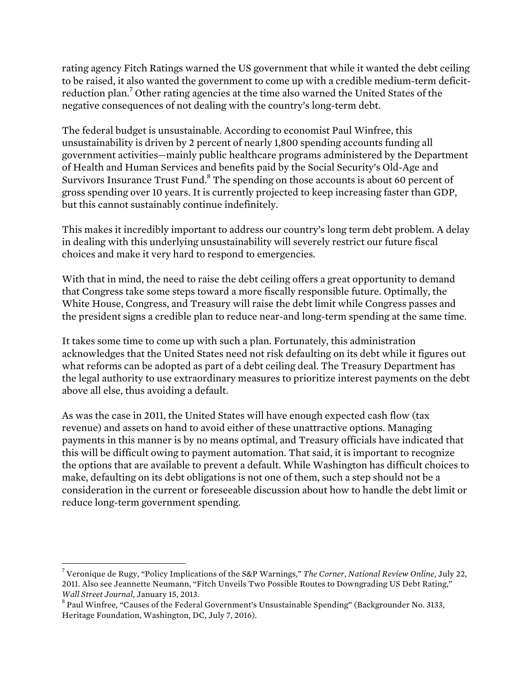rating agency Fitch Ratings warned the US government that while it wanted the debt ceiling to be raised, it also wanted the government to come up with a credible medium-term deficitreduction plan.<sup>7</sup> Other rating agencies at the time also warned the United States of the negative consequences of not dealing with the country's long-term debt.

The federal budget is unsustainable. According to economist Paul Winfree, this unsustainability is driven by 2 percent of nearly 1,800 spending accounts funding all government activities—mainly public healthcare programs administered by the Department of Health and Human Services and benefits paid by the Social Security's Old-Age and Survivors Insurance Trust Fund.<sup>8</sup> The spending on those accounts is about 60 percent of gross spending over 10 years. It is currently projected to keep increasing faster than GDP, but this cannot sustainably continue indefinitely.

This makes it incredibly important to address our country's long term debt problem. A delay in dealing with this underlying unsustainability will severely restrict our future fiscal choices and make it very hard to respond to emergencies.

With that in mind, the need to raise the debt ceiling offers a great opportunity to demand that Congress take some steps toward a more fiscally responsible future. Optimally, the White House, Congress, and Treasury will raise the debt limit while Congress passes and the president signs a credible plan to reduce near-and long-term spending at the same time.

It takes some time to come up with such a plan. Fortunately, this administration acknowledges that the United States need not risk defaulting on its debt while it figures out what reforms can be adopted as part of a debt ceiling deal. The Treasury Department has the legal authority to use extraordinary measures to prioritize interest payments on the debt above all else, thus avoiding a default.

As was the case in 2011, the United States will have enough expected cash flow (tax revenue) and assets on hand to avoid either of these unattractive options. Managing payments in this manner is by no means optimal, and Treasury officials have indicated that this will be difficult owing to payment automation. That said, it is important to recognize the options that are available to prevent a default. While Washington has difficult choices to make, defaulting on its debt obligations is not one of them, such a step should not be a consideration in the current or foreseeable discussion about how to handle the debt limit or reduce long-term government spending.

 <sup>7</sup> Veronique de Rugy, "Policy Implications of the S&P Warnings," *The Corner*, *National Review Online*, July 22, 2011. Also see Jeannette Neumann, "Fitch Unveils Two Possible Routes to Downgrading US Debt Rating," *Wall Street Journal*, January 15, 2013.<br><sup>8</sup> Paul Winfree, "Causes of the Federal Government's Unsustainable Spending" (Backgrounder No. 3133,

Heritage Foundation, Washington, DC, July 7, 2016).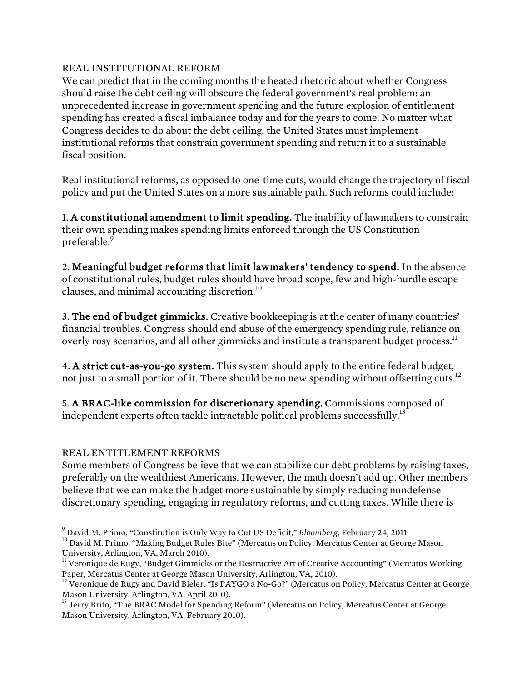## REAL INSTITUTIONAL REFORM

We can predict that in the coming months the heated rhetoric about whether Congress should raise the debt ceiling will obscure the federal government's real problem: an unprecedented increase in government spending and the future explosion of entitlement spending has created a fiscal imbalance today and for the years to come. No matter what Congress decides to do about the debt ceiling, the United States must implement institutional reforms that constrain government spending and return it to a sustainable fiscal position.

Real institutional reforms, as opposed to one-time cuts, would change the trajectory of fiscal policy and put the United States on a more sustainable path. Such reforms could include:

1. A constitutional amendment to limit spending. The inability of lawmakers to constrain their own spending makes spending limits enforced through the US Constitution preferable.<sup>9</sup>

2. Meaningful budget reforms that limit lawmakers' tendency to spend. In the absence of constitutional rules, budget rules should have broad scope, few and high-hurdle escape clauses, and minimal accounting discretion.<sup>10</sup>

3. The end of budget gimmicks. Creative bookkeeping is at the center of many countries' financial troubles. Congress should end abuse of the emergency spending rule, reliance on overly rosy scenarios, and all other gimmicks and institute a transparent budget process.<sup>11</sup>

4. A strict cut-as-you-go system. This system should apply to the entire federal budget, not just to a small portion of it. There should be no new spending without offsetting cuts.<sup>12</sup>

5. A BRAC-like commission for discretionary spending. Commissions composed of independent experts often tackle intractable political problems successfully.<sup>13</sup>

# REAL ENTITLEMENT REFORMS

Some members of Congress believe that we can stabilize our debt problems by raising taxes, preferably on the wealthiest Americans. However, the math doesn't add up. Other members believe that we can make the budget more sustainable by simply reducing nondefense discretionary spending, engaging in regulatory reforms, and cutting taxes. While there is

 $\degree$  David M. Primo, "Constitution is Only Way to Cut US Deficit," *Bloomberg*, February 24, 2011.<br><sup>10</sup> David M. Primo, "Making Budget Rules Bite" (Mercatus on Policy, Mercatus Center at George Mason University, Arlington, VA, March 2010).<br><sup>11</sup> Veronique de Rugy, "Budget Gimmicks or the Destructive Art of Creative Accounting" (Mercatus Working

Paper, Mercatus Center at George Mason University, Arlington, VA, 2010).

<sup>&</sup>lt;sup>12</sup> Veronique de Rugy and David Bieler, "Is PAYGO a No-Go?" (Mercatus on Policy, Mercatus Center at George Mason University, Arlington, VA, April 2010).

<sup>&</sup>lt;sup>13</sup> Jerry Brito, "The BRAC Model for Spending Reform" (Mercatus on Policy, Mercatus Center at George Mason University, Arlington, VA, February 2010).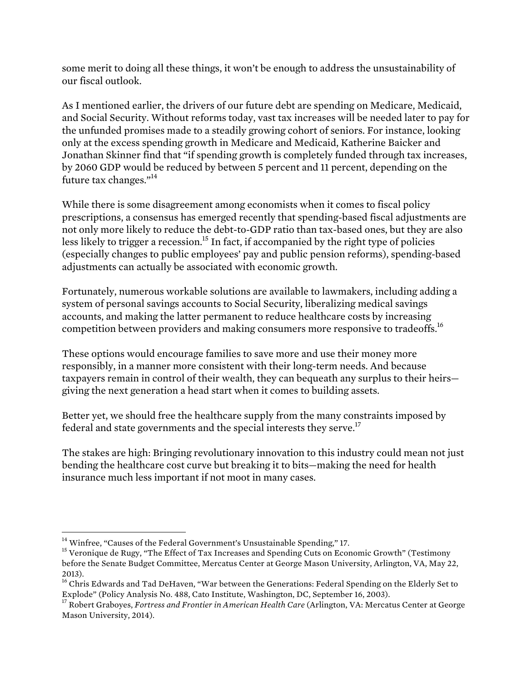some merit to doing all these things, it won't be enough to address the unsustainability of our fiscal outlook.

As I mentioned earlier, the drivers of our future debt are spending on Medicare, Medicaid, and Social Security. Without reforms today, vast tax increases will be needed later to pay for the unfunded promises made to a steadily growing cohort of seniors. For instance, looking only at the excess spending growth in Medicare and Medicaid, Katherine Baicker and Jonathan Skinner find that "if spending growth is completely funded through tax increases, by 2060 GDP would be reduced by between 5 percent and 11 percent, depending on the future tax changes."<sup>14</sup>

While there is some disagreement among economists when it comes to fiscal policy prescriptions, a consensus has emerged recently that spending-based fiscal adjustments are not only more likely to reduce the debt-to-GDP ratio than tax-based ones, but they are also less likely to trigger a recession.<sup>15</sup> In fact, if accompanied by the right type of policies (especially changes to public employees' pay and public pension reforms), spending-based adjustments can actually be associated with economic growth.

Fortunately, numerous workable solutions are available to lawmakers, including adding a system of personal savings accounts to Social Security, liberalizing medical savings accounts, and making the latter permanent to reduce healthcare costs by increasing competition between providers and making consumers more responsive to tradeoffs.16

These options would encourage families to save more and use their money more responsibly, in a manner more consistent with their long-term needs. And because taxpayers remain in control of their wealth, they can bequeath any surplus to their heirs giving the next generation a head start when it comes to building assets.

Better yet, we should free the healthcare supply from the many constraints imposed by federal and state governments and the special interests they serve.<sup>17</sup>

The stakes are high: Bringing revolutionary innovation to this industry could mean not just bending the healthcare cost curve but breaking it to bits—making the need for health insurance much less important if not moot in many cases.

<sup>&</sup>lt;sup>14</sup> Winfree, "Causes of the Federal Government's Unsustainable Spending," 17.<br><sup>15</sup> Veronique de Rugy, "The Effect of Tax Increases and Spending Cuts on Economic Growth" (Testimony before the Senate Budget Committee, Mercatus Center at George Mason University, Arlington, VA, May 22, 2013).

<sup>&</sup>lt;sup>16</sup> Chris Edwards and Tad DeHaven, "War between the Generations: Federal Spending on the Elderly Set to Explode" (Policy Analysis No. 488, Cato Institute, Washington, DC, September 16, 2003).

<sup>&</sup>lt;sup>17</sup> Robert Graboyes, *Fortress and Frontier in American Health Care* (Arlington, VA: Mercatus Center at George Mason University, 2014).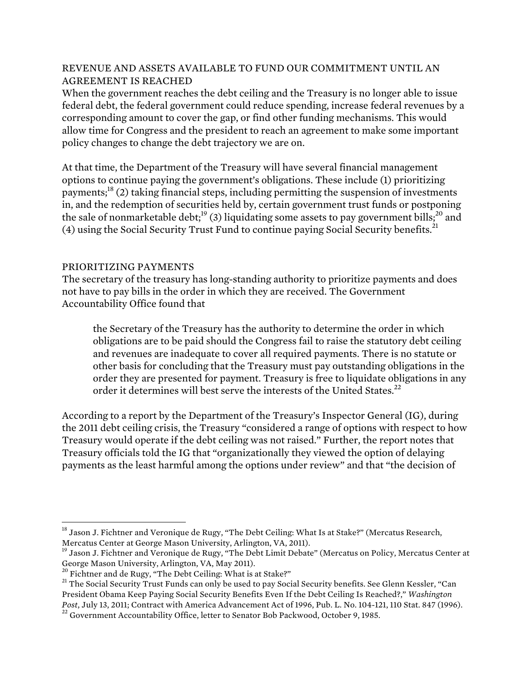### REVENUE AND ASSETS AVAILABLE TO FUND OUR COMMITMENT UNTIL AN AGREEMENT IS REACHED

When the government reaches the debt ceiling and the Treasury is no longer able to issue federal debt, the federal government could reduce spending, increase federal revenues by a corresponding amount to cover the gap, or find other funding mechanisms. This would allow time for Congress and the president to reach an agreement to make some important policy changes to change the debt trajectory we are on.

At that time, the Department of the Treasury will have several financial management options to continue paying the government's obligations. These include (1) prioritizing payments;<sup>18</sup> (2) taking financial steps, including permitting the suspension of investments in, and the redemption of securities held by, certain government trust funds or postponing the sale of nonmarketable debt;  $^{19}$  (3) liquidating some assets to pay government bills;  $^{20}$  and (4) using the Social Security Trust Fund to continue paying Social Security benefits.<sup>21</sup>

#### PRIORITIZING PAYMENTS

The secretary of the treasury has long-standing authority to prioritize payments and does not have to pay bills in the order in which they are received. The Government Accountability Office found that

the Secretary of the Treasury has the authority to determine the order in which obligations are to be paid should the Congress fail to raise the statutory debt ceiling and revenues are inadequate to cover all required payments. There is no statute or other basis for concluding that the Treasury must pay outstanding obligations in the order they are presented for payment. Treasury is free to liquidate obligations in any order it determines will best serve the interests of the United States.<sup>22</sup>

According to a report by the Department of the Treasury's Inspector General (IG), during the 2011 debt ceiling crisis, the Treasury "considered a range of options with respect to how Treasury would operate if the debt ceiling was not raised." Further, the report notes that Treasury officials told the IG that "organizationally they viewed the option of delaying payments as the least harmful among the options under review" and that "the decision of

<sup>&</sup>lt;sup>18</sup> Jason J. Fichtner and Veronique de Rugy, "The Debt Ceiling: What Is at Stake?" (Mercatus Research, Mercatus Center at George Mason University, Arlington, VA, 2011).

<sup>&</sup>lt;sup>19</sup> Jason J. Fichtner and Veronique de Rugy, "The Debt Limit Debate" (Mercatus on Policy, Mercatus Center at George Mason University, Arlington, VA, May 2011).<br><sup>20</sup> Fichtner and de Rugy, "The Debt Ceiling: What is at Stake?"

<sup>&</sup>lt;sup>21</sup> The Social Security Trust Funds can only be used to pay Social Security benefits. See Glenn Kessler, "Can President Obama Keep Paying Social Security Benefits Even If the Debt Ceiling Is Reached?," *Washington Post*, July 13, 2011; Contract with America Advancement Act of 1996, Pub. L. No. 104-121, 110 Stat. 847 (1996).<br><sup>22</sup> Government Accountability Office, letter to Senator Bob Packwood, October 9, 1985.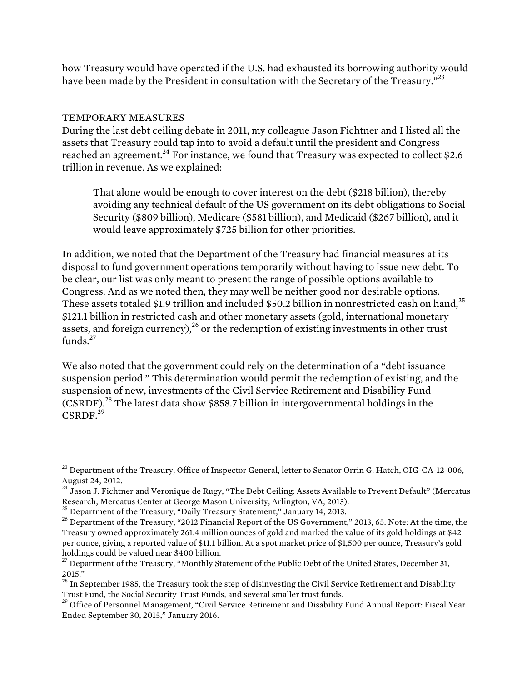how Treasury would have operated if the U.S. had exhausted its borrowing authority would have been made by the President in consultation with the Secretary of the Treasury."<sup>23</sup>

## TEMPORARY MEASURES

During the last debt ceiling debate in 2011, my colleague Jason Fichtner and I listed all the assets that Treasury could tap into to avoid a default until the president and Congress reached an agreement.<sup>24</sup> For instance, we found that Treasury was expected to collect \$2.6 trillion in revenue. As we explained:

That alone would be enough to cover interest on the debt (\$218 billion), thereby avoiding any technical default of the US government on its debt obligations to Social Security (\$809 billion), Medicare (\$581 billion), and Medicaid (\$267 billion), and it would leave approximately \$725 billion for other priorities.

In addition, we noted that the Department of the Treasury had financial measures at its disposal to fund government operations temporarily without having to issue new debt. To be clear, our list was only meant to present the range of possible options available to Congress. And as we noted then, they may well be neither good nor desirable options. These assets totaled \$1.9 trillion and included \$50.2 billion in nonrestricted cash on hand.<sup>25</sup> \$121.1 billion in restricted cash and other monetary assets (gold, international monetary assets, and foreign currency),  $^{26}$  or the redemption of existing investments in other trust funds. $27$ 

We also noted that the government could rely on the determination of a "debt issuance suspension period." This determination would permit the redemption of existing, and the suspension of new, investments of the Civil Service Retirement and Disability Fund  $(CSRDF)<sup>28</sup>$  The latest data show \$858.7 billion in intergovernmental holdings in the  $CSRDF.<sup>29</sup>$ 

 $^{23}$  Department of the Treasury, Office of Inspector General, letter to Senator Orrin G. Hatch, OIG-CA-12-006, August 24, 2012.

<sup>&</sup>lt;sup>24</sup> Jason J. Fichtner and Veronique de Rugy, "The Debt Ceiling: Assets Available to Prevent Default" (Mercatus Research, Mercatus Center at George Mason University, Arlington, VA, 2013).<br><sup>25</sup> Department of the Treasury, "Daily Treasury Statement," January 14, 2013.

<sup>&</sup>lt;sup>26</sup> Department of the Treasury, "2012 Financial Report of the US Government," 2013, 65. Note: At the time, the Treasury owned approximately 261.4 million ounces of gold and marked the value of its gold holdings at \$42 per ounce, giving a reported value of \$11.1 billion. At a spot market price of \$1,500 per ounce, Treasury's gold holdings could be valued near \$400 billion.

<sup>&</sup>lt;sup>27</sup> Department of the Treasury, "Monthly Statement of the Public Debt of the United States, December 31, 2015."

<sup>&</sup>lt;sup>28</sup> In September 1985, the Treasury took the step of disinvesting the Civil Service Retirement and Disability Trust Fund, the Social Security Trust Funds, and several smaller trust funds.

<sup>&</sup>lt;sup>29</sup> Office of Personnel Management, "Civil Service Retirement and Disability Fund Annual Report: Fiscal Year Ended September 30, 2015," January 2016.